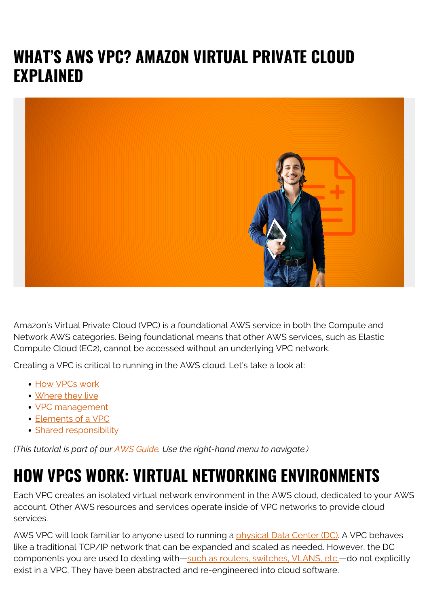### **WHAT'S AWS VPC? AMAZON VIRTUAL PRIVATE CLOUD EXPLAINED**



Amazon's Virtual Private Cloud (VPC) is a foundational AWS service in both the Compute and Network AWS categories. Being foundational means that other AWS services, such as Elastic Compute Cloud (EC2), cannot be accessed without an underlying VPC network.

Creating a VPC is critical to running in the AWS cloud. Let's take a look at:

- [How VPCs work](#page--1-0)
- [Where they live](#page--1-0)
- [VPC management](#page--1-0)
- [Elements of a VPC](#page--1-0)
- [Shared responsibility](#page--1-0)

*(This tutorial is part of our [AWS Guide](https://blogs.bmc.com/blogs/aws-serverless-applications/). Use the right-hand menu to navigate.)*

## **HOW VPCS WORK: VIRTUAL NETWORKING ENVIRONMENTS**

Each VPC creates an isolated virtual network environment in the AWS cloud, dedicated to your AWS account. Other AWS resources and services operate inside of VPC networks to provide cloud services.

AWS VPC will look familiar to anyone used to running a [physical Data Center \(DC\)](https://blogs.bmc.com/blogs/data-center-migration/). A VPC behaves like a traditional TCP/IP network that can be expanded and scaled as needed. However, the DC components you are used to dealing with[—such as routers, switches, VLANS, etc.](https://blogs.bmc.com/blogs/what-is-it-infrastructure-and-what-are-its-components/)—do not explicitly exist in a VPC. They have been abstracted and re-engineered into cloud software.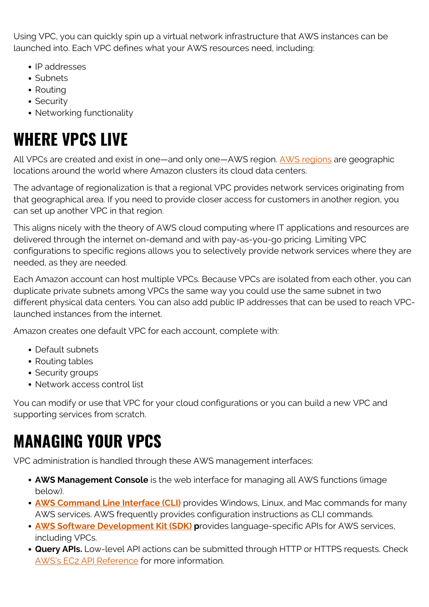Using VPC, you can quickly spin up a virtual network infrastructure that AWS instances can be launched into. Each VPC defines what your AWS resources need, including:

- IP addresses
- Subnets
- Routing
- Security
- Networking functionality

# **WHERE VPCS LIVE**

All VPCs are created and exist in one—and only one—AWS region. [AWS regions](https://blogs.bmc.com/blogs/aws-regions-availability-zones/) are geographic locations around the world where Amazon clusters its cloud data centers.

The advantage of regionalization is that a regional VPC provides network services originating from that geographical area. If you need to provide closer access for customers in another region, you can set up another VPC in that region.

This aligns nicely with the theory of AWS cloud computing where IT applications and resources are delivered through the internet on-demand and with pay-as-you-go pricing. Limiting VPC configurations to specific regions allows you to selectively provide network services where they are needed, as they are needed.

Each Amazon account can host multiple VPCs. Because VPCs are isolated from each other, you can duplicate private subnets among VPCs the same way you could use the same subnet in two different physical data centers. You can also add public IP addresses that can be used to reach VPClaunched instances from the internet.

Amazon creates one default VPC for each account, complete with:

- Default subnets
- Routing tables
- Security groups
- Network access control list

You can modify or use that VPC for your cloud configurations or you can build a new VPC and supporting services from scratch.

## **MANAGING YOUR VPCS**

VPC administration is handled through these AWS management interfaces:

- **AWS Management Console** is the web interface for managing all AWS functions (image below).
- **[AWS Command Line Interface \(CLI\)](https://aws.amazon.com/cli/)** provides Windows, Linux, and Mac commands for many AWS services. AWS frequently provides configuration instructions as CLI commands.
- **[AWS Software Development Kit \(SDK\)](https://aws.amazon.com/tools/#SDKs)** provides language-specific APIs for AWS services, including VPCs.
- **Query APIs.** Low-level API actions can be submitted through HTTP or HTTPS requests. Check [AWS's EC2 API Reference](https://docs.aws.amazon.com/AWSEC2/latest/APIReference/Welcome.html) for more information.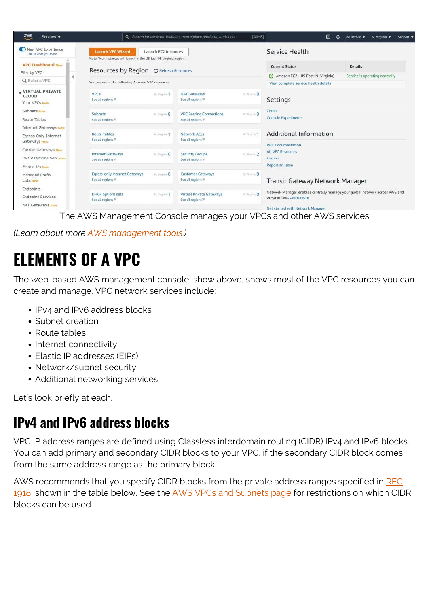| $\frac{aws}{2}$<br>Services $\blacktriangledown$              |                                                                                                                           | Q Search for services, features, marketplace products, and docs       | $[Alt + S]$              | 冋<br>Δ                                                                      | Joe Hertvik V<br>N. Virginia $\Psi$<br>Support <b>v</b> |  |
|---------------------------------------------------------------|---------------------------------------------------------------------------------------------------------------------------|-----------------------------------------------------------------------|--------------------------|-----------------------------------------------------------------------------|---------------------------------------------------------|--|
| New VPC Experience<br>Tell us what you think                  | <b>Launch VPC Wizard</b><br>Launch EC2 Instances<br>Note: Your Instances will launch in the US East (N. Virginia) region. |                                                                       |                          | Service Health                                                              |                                                         |  |
| <b>VPC Dashboard New</b><br>Filter by VPC:                    | <b>Resources by Region C Refresh Resources</b>                                                                            |                                                                       |                          | <b>Current Status</b><br>Amazon EC2 - US East (N. Virginia)                 | <b>Details</b><br>Service is operating normally         |  |
| Q Select a VPC                                                | You are using the following Amazon VPC resources                                                                          |                                                                       |                          | View complete service health details                                        |                                                         |  |
| <b>VIRTUAL PRIVATE</b><br><b>CLOUD</b><br>Your VPCs New       | <b>VPCs</b><br>See all regions                                                                                            | <b>NAT Gateways</b><br>N. Virginia 1<br>See all regions \             | N. Virginis O            | Settings<br>Zones<br><b>Console Experiments</b>                             |                                                         |  |
| Subnets New<br>Route Tables                                   | Subnets<br>See all regions \                                                                                              | <b>VPC Peering Connections</b><br>N. Virginia 6<br>See all regions \  | N. Virginis <sup>O</sup> |                                                                             |                                                         |  |
| Internet Gateways New<br>Egress Only Internet<br>Gateways New | Route Tables<br>See all regions $\overline{\mathbf{v}}$                                                                   | Network ACLs<br>N. Virginia 1<br>See all regions $\Psi$               | At Virginis 1            | Additional Information                                                      |                                                         |  |
| Carrier Gateways New<br><b>DHCP Options Sets New</b>          | <b>Internet Gateways</b><br>See all regions $\Psi$                                                                        | <b>Security Groups</b><br>N. Virginia O<br>See all regions \          | N. Virginia 2            | <b>VPC</b> Documentation<br><b>All VPC Resources</b><br>Forums              |                                                         |  |
| Elastic IPs New                                               |                                                                                                                           |                                                                       |                          | Report an Issue                                                             |                                                         |  |
| Managed Prefix<br>Lists New                                   | Egress-only Internet Gateways<br>See all regions $\Psi$                                                                   | <b>Customer Gateways</b><br>N. Virginia O<br>See all regions $\nabla$ | N. Virginia O            | Transit Gateway Network Manager                                             |                                                         |  |
| Endpoints                                                     |                                                                                                                           |                                                                       |                          | Network Manager enables centrally manage your global network across AWS and |                                                         |  |
| <b>Endpoint Services</b>                                      | <b>DHCP</b> options sets<br>See all regions $\nabla$                                                                      | <b>Virtual Private Gateways</b><br>N. Virginia 1<br>See all regions V | N. Virginia O            | on-premises. Learn more                                                     |                                                         |  |
| <b>NAT Gateways New</b>                                       |                                                                                                                           |                                                                       |                          | Get started with Network Manager                                            |                                                         |  |

The AWS Management Console manages your VPCs and other AWS services

*(Learn about more [AWS management tools.](https://blogs.bmc.com/blogs/aws-management-tools/))*

### **ELEMENTS OF A VPC**

The web-based AWS management console, show above, shows most of the VPC resources you can create and manage. VPC network services include:

- IPv4 and IPv6 address blocks
- Subnet creation
- Route tables
- Internet connectivity
- Elastic IP addresses (EIPs)
- Network/subnet security
- Additional networking services

Let's look briefly at each.

#### **IPv4 and IPv6 address blocks**

VPC IP address ranges are defined using Classless interdomain routing (CIDR) IPv4 and IPv6 blocks. You can add primary and secondary CIDR blocks to your VPC, if the secondary CIDR block comes from the same address range as the primary block.

AWS recommends that you specify CIDR blocks from the private address ranges specified in [RFC](http://www.faqs.org/rfcs/rfc1918.html) [1918](http://www.faqs.org/rfcs/rfc1918.html), shown in the table below. See the [AWS VPCs and Subnets page](https://docs.aws.amazon.com/vpc/latest/userguide/VPC_Subnets.html#vpc-resize) for restrictions on which CIDR blocks can be used.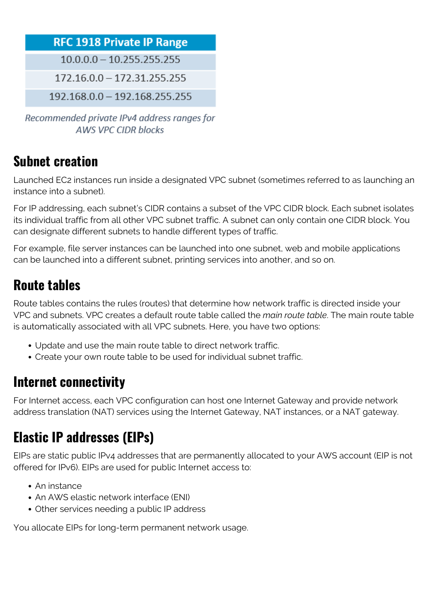#### **RFC 1918 Private IP Range**

 $10.0.0.0 - 10.255.255.255$ 

 $172.16.0.0 - 172.31.255.255$ 

192.168.0.0 - 192.168.255.255

Recommended private IPv4 address ranges for **AWS VPC CIDR blocks** 

#### **Subnet creation**

Launched EC2 instances run inside a designated VPC subnet (sometimes referred to as launching an instance into a subnet).

For IP addressing, each subnet's CIDR contains a subset of the VPC CIDR block. Each subnet isolates its individual traffic from all other VPC subnet traffic. A subnet can only contain one CIDR block. You can designate different subnets to handle different types of traffic.

For example, file server instances can be launched into one subnet, web and mobile applications can be launched into a different subnet, printing services into another, and so on.

#### **Route tables**

Route tables contains the rules (routes) that determine how network traffic is directed inside your VPC and subnets. VPC creates a default route table called the *main route table*. The main route table is automatically associated with all VPC subnets. Here, you have two options:

- Update and use the main route table to direct network traffic.
- Create your own route table to be used for individual subnet traffic.

### **Internet connectivity**

For Internet access, each VPC configuration can host one Internet Gateway and provide network address translation (NAT) services using the Internet Gateway, NAT instances, or a NAT gateway.

### **Elastic IP addresses (EIPs)**

EIPs are static public IPv4 addresses that are permanently allocated to your AWS account (EIP is not offered for IPv6). EIPs are used for public Internet access to:

- An instance
- An AWS elastic network interface (ENI)
- Other services needing a public IP address

You allocate EIPs for long-term permanent network usage.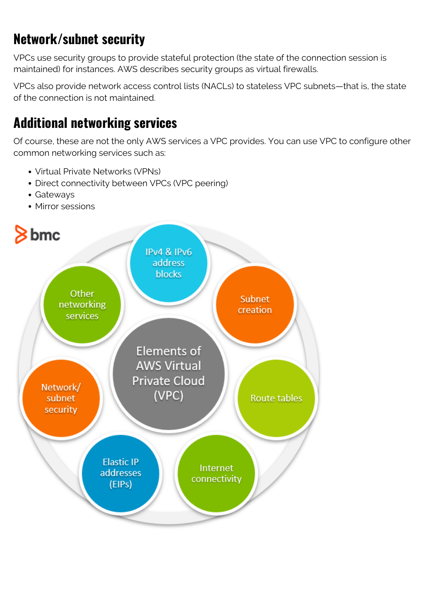### **Network/subnet security**

VPCs use security groups to provide stateful protection (the state of the connection session is maintained) for instances. AWS describes security groups as virtual firewalls.

VPCs also provide network access control lists (NACLs) to stateless VPC subnets—that is, the state of the connection is not maintained.

#### **Additional networking services**

Of course, these are not the only AWS services a VPC provides. You can use VPC to configure other common networking services such as:

- Virtual Private Networks (VPNs)
- Direct connectivity between VPCs (VPC peering)
- Gateways
- Mirror sessions